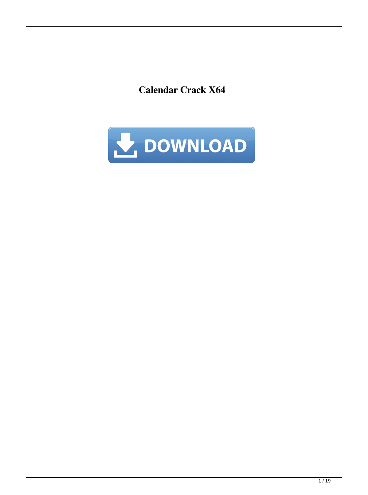**Calendar Crack X64**

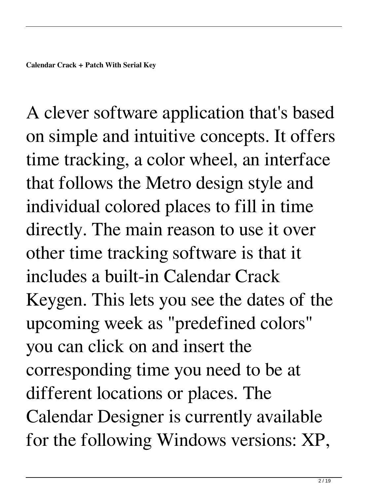A clever software application that's based on simple and intuitive concepts. It offers time tracking, a color wheel, an interface that follows the Metro design style and individual colored places to fill in time directly. The main reason to use it over other time tracking software is that it includes a built-in Calendar Crack Keygen. This lets you see the dates of the upcoming week as "predefined colors" you can click on and insert the corresponding time you need to be at different locations or places. The Calendar Designer is currently available for the following Windows versions: XP,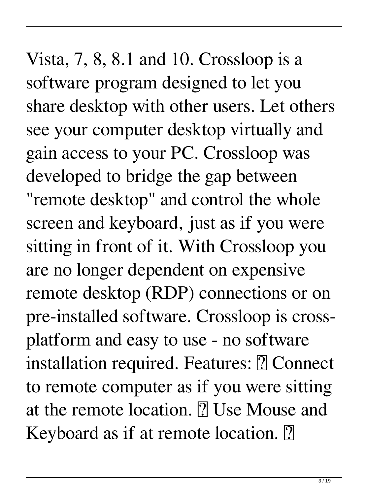Vista, 7, 8, 8.1 and 10. Crossloop is a software program designed to let you share desktop with other users. Let others see your computer desktop virtually and gain access to your PC. Crossloop was developed to bridge the gap between "remote desktop" and control the whole screen and keyboard, just as if you were sitting in front of it. With Crossloop you are no longer dependent on expensive remote desktop (RDP) connections or on pre-installed software. Crossloop is crossplatform and easy to use - no software installation required. Features: **?** Connect to remote computer as if you were sitting at the remote location. **P** Use Mouse and Keyboard as if at remote location. **P**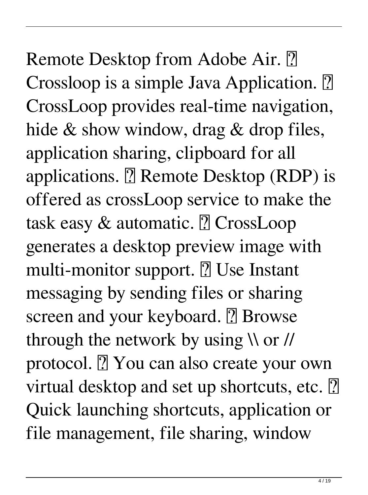## Remote Desktop from Adobe Air. **?** Crossloop is a simple Java Application. **?** CrossLoop provides real-time navigation, hide & show window, drag & drop files, application sharing, clipboard for all applications.  $[$ ] Remote Desktop (RDP) is offered as crossLoop service to make the task easy  $&$  automatic.  $[$  CrossLoop generates a desktop preview image with multi-monitor support.  $[$ ] Use Instant messaging by sending files or sharing screen and your keyboard. **7** Browse through the network by using  $\sqrt{\frac{1}{\pi}}$ protocol. **7** You can also create your own virtual desktop and set up shortcuts, etc. 2 Quick launching shortcuts, application or file management, file sharing, window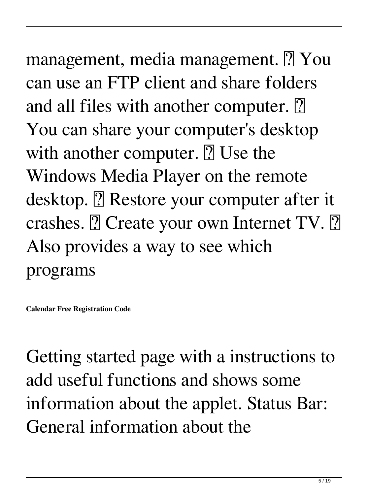management, media management. **7** You can use an FTP client and share folders and all files with another computer.  $\boxed{?}$ You can share your computer's desktop with another computer.  $[$ ] Use the Windows Media Player on the remote desktop. **7** Restore your computer after it crashes.  $[$ ? Create your own Internet TV.  $[$ ? Also provides a way to see which programs

**Calendar Free Registration Code**

Getting started page with a instructions to add useful functions and shows some information about the applet. Status Bar: General information about the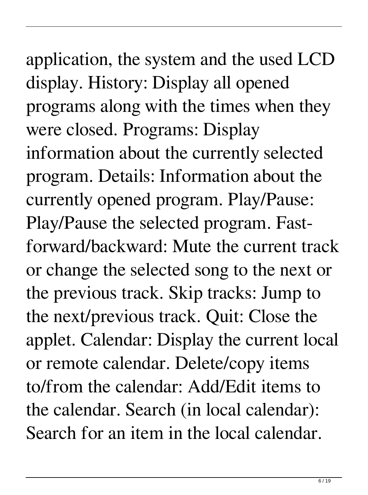# application, the system and the used LCD

display. History: Display all opened programs along with the times when they were closed. Programs: Display information about the currently selected program. Details: Information about the currently opened program. Play/Pause: Play/Pause the selected program. Fastforward/backward: Mute the current track or change the selected song to the next or the previous track. Skip tracks: Jump to the next/previous track. Quit: Close the applet. Calendar: Display the current local or remote calendar. Delete/copy items to/from the calendar: Add/Edit items to the calendar. Search (in local calendar): Search for an item in the local calendar.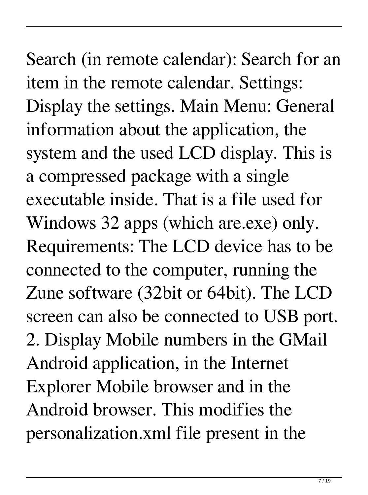Search (in remote calendar): Search for an item in the remote calendar. Settings: Display the settings. Main Menu: General information about the application, the system and the used LCD display. This is a compressed package with a single executable inside. That is a file used for Windows 32 apps (which are.exe) only. Requirements: The LCD device has to be connected to the computer, running the Zune software (32bit or 64bit). The LCD screen can also be connected to USB port. 2. Display Mobile numbers in the GMail Android application, in the Internet Explorer Mobile browser and in the Android browser. This modifies the personalization.xml file present in the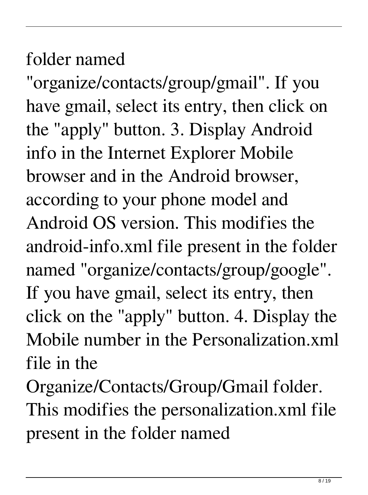#### folder named

"organize/contacts/group/gmail". If you have gmail, select its entry, then click on the "apply" button. 3. Display Android info in the Internet Explorer Mobile browser and in the Android browser, according to your phone model and Android OS version. This modifies the android-info.xml file present in the folder named "organize/contacts/group/google". If you have gmail, select its entry, then click on the "apply" button. 4. Display the Mobile number in the Personalization.xml file in the

Organize/Contacts/Group/Gmail folder. This modifies the personalization.xml file present in the folder named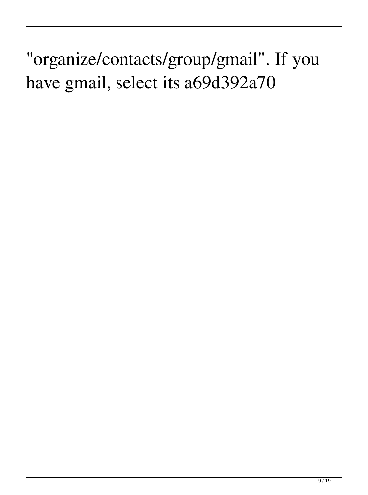"organize/contacts/group/gmail". If you have gmail, select its a69d392a70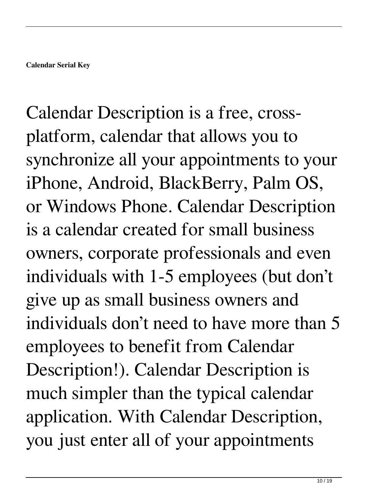Calendar Description is a free, crossplatform, calendar that allows you to synchronize all your appointments to your iPhone, Android, BlackBerry, Palm OS, or Windows Phone. Calendar Description is a calendar created for small business owners, corporate professionals and even individuals with 1-5 employees (but don't give up as small business owners and individuals don't need to have more than 5 employees to benefit from Calendar Description!). Calendar Description is much simpler than the typical calendar application. With Calendar Description, you just enter all of your appointments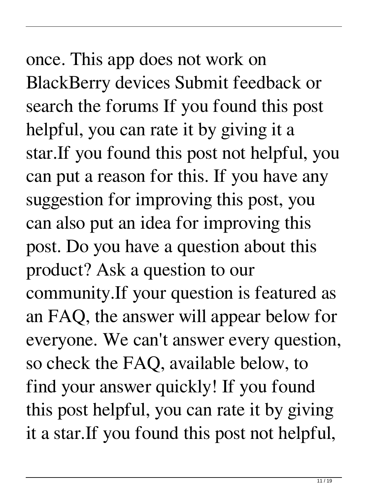## once. This app does not work on BlackBerry devices Submit feedback or search the forums If you found this post helpful, you can rate it by giving it a star.If you found this post not helpful, you can put a reason for this. If you have any suggestion for improving this post, you can also put an idea for improving this post. Do you have a question about this product? Ask a question to our community.If your question is featured as an FAQ, the answer will appear below for everyone. We can't answer every question, so check the FAQ, available below, to find your answer quickly! If you found this post helpful, you can rate it by giving it a star.If you found this post not helpful,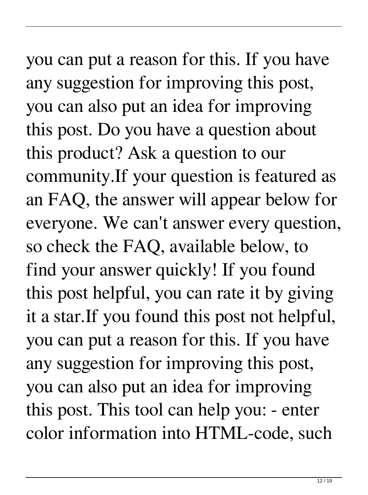you can put a reason for this. If you have any suggestion for improving this post, you can also put an idea for improving this post. Do you have a question about this product? Ask a question to our community.If your question is featured as an FAQ, the answer will appear below for everyone. We can't answer every question, so check the FAQ, available below, to find your answer quickly! If you found this post helpful, you can rate it by giving it a star.If you found this post not helpful, you can put a reason for this. If you have any suggestion for improving this post, you can also put an idea for improving this post. This tool can help you: - enter color information into HTML-code, such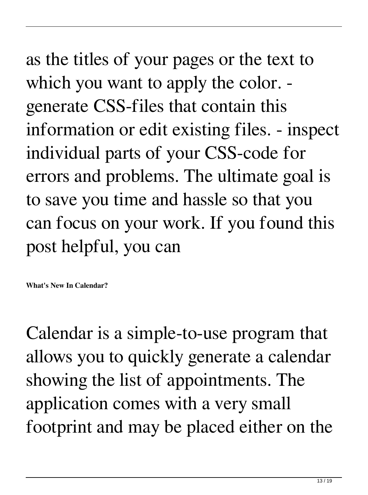as the titles of your pages or the text to which you want to apply the color. generate CSS-files that contain this information or edit existing files. - inspect individual parts of your CSS-code for errors and problems. The ultimate goal is to save you time and hassle so that you can focus on your work. If you found this post helpful, you can

**What's New In Calendar?**

Calendar is a simple-to-use program that allows you to quickly generate a calendar showing the list of appointments. The application comes with a very small footprint and may be placed either on the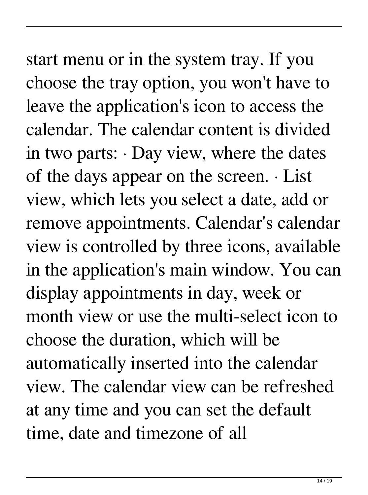## start menu or in the system tray. If you choose the tray option, you won't have to leave the application's icon to access the calendar. The calendar content is divided in two parts:  $\cdot$  Day view, where the dates of the days appear on the screen. · List view, which lets you select a date, add or remove appointments. Calendar's calendar view is controlled by three icons, available in the application's main window. You can display appointments in day, week or month view or use the multi-select icon to choose the duration, which will be automatically inserted into the calendar view. The calendar view can be refreshed at any time and you can set the default

time, date and timezone of all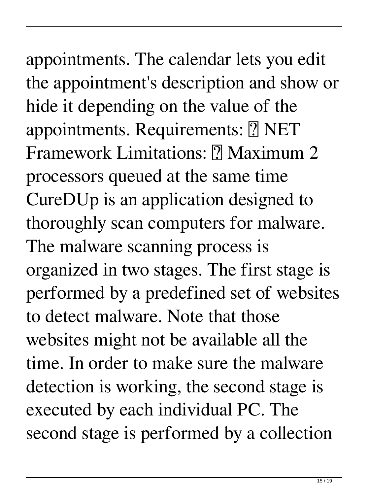## appointments. The calendar lets you edit the appointment's description and show or hide it depending on the value of the appointments. Requirements: **7** NET Framework Limitations: **PMaximum 2** processors queued at the same time CureDUp is an application designed to thoroughly scan computers for malware. The malware scanning process is organized in two stages. The first stage is performed by a predefined set of websites to detect malware. Note that those

websites might not be available all the time. In order to make sure the malware detection is working, the second stage is executed by each individual PC. The second stage is performed by a collection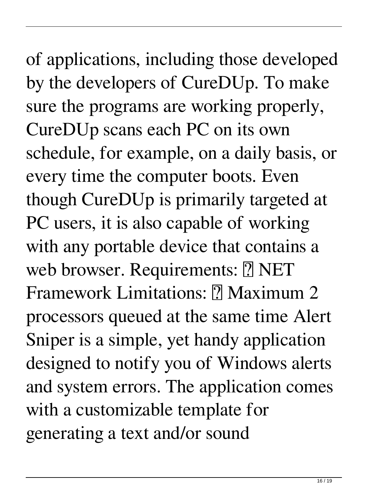of applications, including those developed by the developers of CureDUp. To make sure the programs are working properly, CureDUp scans each PC on its own schedule, for example, on a daily basis, or every time the computer boots. Even though CureDUp is primarily targeted at PC users, it is also capable of working with any portable device that contains a web browser. Requirements: **?** NET Framework Limitations: **PMaximum 2** processors queued at the same time Alert Sniper is a simple, yet handy application designed to notify you of Windows alerts and system errors. The application comes with a customizable template for generating a text and/or sound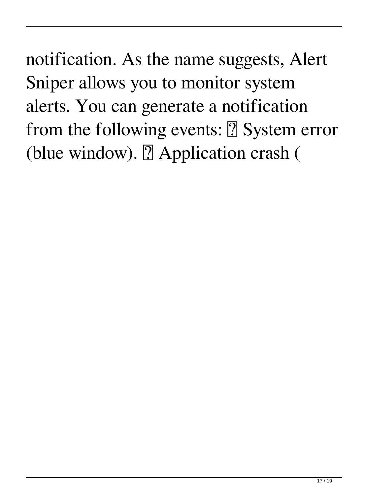notification. As the name suggests, Alert Sniper allows you to monitor system alerts. You can generate a notification from the following events:  $\boxed{?}$  System error (blue window).  $[$  Application crash (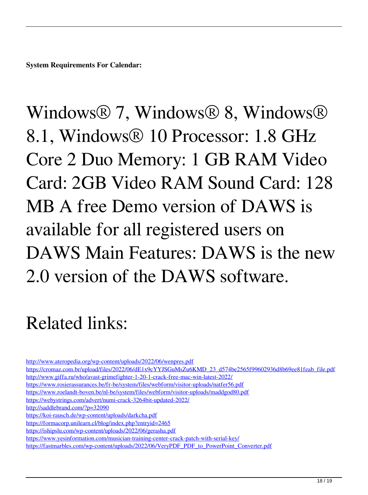**System Requirements For Calendar:**

Windows® 7, Windows® 8, Windows® 8.1, Windows® 10 Processor: 1.8 GHz Core 2 Duo Memory: 1 GB RAM Video Card: 2GB Video RAM Sound Card: 128 MB A free Demo version of DAWS is available for all registered users on DAWS Main Features: DAWS is the new 2.0 version of the DAWS software.

#### Related links:

<http://www.ateropedia.org/wp-content/uploads/2022/06/wenpres.pdf>

[https://cromaz.com.br/upload/files/2022/06/dE1x9cYYJSGuMsZu6KMD\\_23\\_d574be2565f99602936d8b69ee81feab\\_file.pdf](https://cromaz.com.br/upload/files/2022/06/dE1x9cYYJSGuMsZu6KMD_23_d574be2565f99602936d8b69ee81feab_file.pdf) <http://www.giffa.ru/who/avast-grimefighter-1-20-1-crack-free-mac-win-latest-2022/>

- <https://www.rosierassurances.be/fr-be/system/files/webform/visitor-uploads/natfer56.pdf>
- <https://www.roelandt-boven.be/nl-be/system/files/webform/visitor-uploads/maddgod80.pdf>
- <https://webystrings.com/advert/numi-crack-3264bit-updated-2022/>
- <http://saddlebrand.com/?p=32090>
- <https://koi-rausch.de/wp-content/uploads/darkcha.pdf>
- <https://formacorp.unilearn.cl/blog/index.php?entryid=2465>
- <https://ishipslu.com/wp-content/uploads/2022/06/gerasha.pdf>
- <https://www.yesinformation.com/musician-training-center-crack-patch-with-serial-key/>
- [https://fastmarbles.com/wp-content/uploads/2022/06/VeryPDF\\_PDF\\_to\\_PowerPoint\\_Converter.pdf](https://fastmarbles.com/wp-content/uploads/2022/06/VeryPDF_PDF_to_PowerPoint_Converter.pdf)